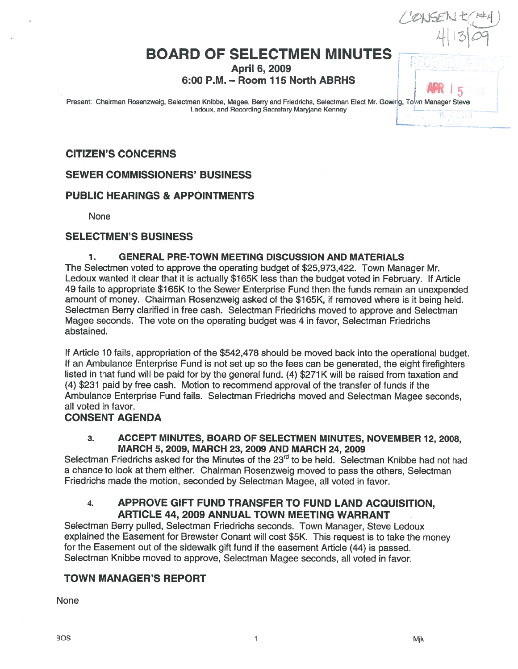# **BOARD OF SELECTMEN MINUTES**

April 6, 2009

6:00 P.M. - Room 115 North ABRHS

Present: Chairman Rosenzweig, Selectmen Knibbe, Magee, Berry and Friedrichs, Selectman Elect Mr. Gowing, Town Manager Steve Ledoux, and Recording Secretary Maryjane Kenney

#### CITIZEN'S CONCERNS

SEWER COMMISSIONERS' BUSINESS

#### PUBLIC HEARINGS & APPOINTMENTS

None

#### SELECTMEN'S BUSINESS

#### 1. GENERAL PRE-TOWN MEETING DISCUSSION AND MATERIALS

The Selectmen voted to approve the operating budget of \$25,973,422. Town Manager Mr. Ledoux wanted it clear that it is actually \$165K less than the budget voted in February. If Article 49 fails to appropriate \$165K to the Sewer Enterprise Fund then the funds remain an unexpended amount of money. Chairman Rosenzweig asked of the \$1 65K, it removed where is it being held. Selectman Berry clarified in free cash. Selectman Friedrichs moved to approve and Selectman Magee seconds. The vote on the operating budget was 4 in favor, Selectman Friedrichs abstained.

If Article 10 fails, appropriation of the \$542,478 should be moved back into the operational budget. It an Ambulance Enterprise Fund is not set up so the fees can be generated, the eight firefighters listed in that fund will be paid for by the general fund. (4) \$271 K will be raised from taxation and (4) \$231 paid by free cash. Motion to recommend approval of the transfer of funds if the Ambulance Enterprise Fund fails. Selectman Friedrichs moved and Selectman Magee seconds, all voted in favor.

#### CONSENT AGENDA

#### 3. ACCEPT MINUTES, BOARD OF SELECTMEN MINUTES, NOVEMBER 12, 2008, MARCH 5, 2009, MARCH 23, 2009 AND MARCH 24, 2009

Selectman Friedrichs asked for the Minutes of the 23<sup>rd</sup> to be held. Selectman Knibbe had not had <sup>a</sup> chance to look at them either. Chairman Rosenzweig moved to pass the others, Selectman Friedrichs made the motion, seconded by Selectman Magee, all voted in favor.

#### 4. APPROVE GIFT FUND TRANSFER TO FUND LAND ACQUISITION, ARTICLE 44, 2009 ANNUAL TOWN MEETING WARRANT

Selectman Berry pulled, Selectman Friedrichs seconds. Town Manager, Steve Ledoux explained the Easement for Brewster Conant will cost \$5K. This reques<sup>t</sup> is to take the money for the Easement out of the sidewalk <sup>g</sup>ift fund if the easement Article (44) is passed. Selectman Knibbe moved to approve, Selectman Magee seconds, all voted in favor.

### TOWN MANAGER'S REPORT

None

4 | 13 | *O*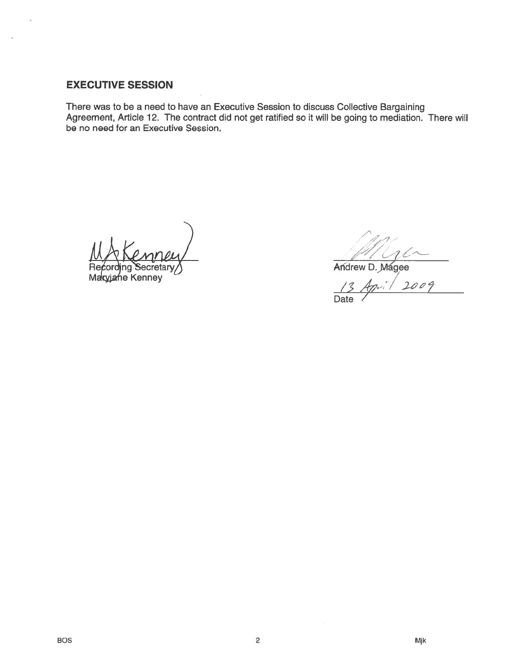# EXECUTIVE SESSION

There was to be <sup>a</sup> need to have an Executive Session to discuss Collective Bargaining Agreement, Article 12. The contract did not ge<sup>t</sup> ratified so it will be going to mediation. There will be no need for an Executive Session.

cretan

Maryjahe Kenney

' P

Andrew D. Magee

2009 Date